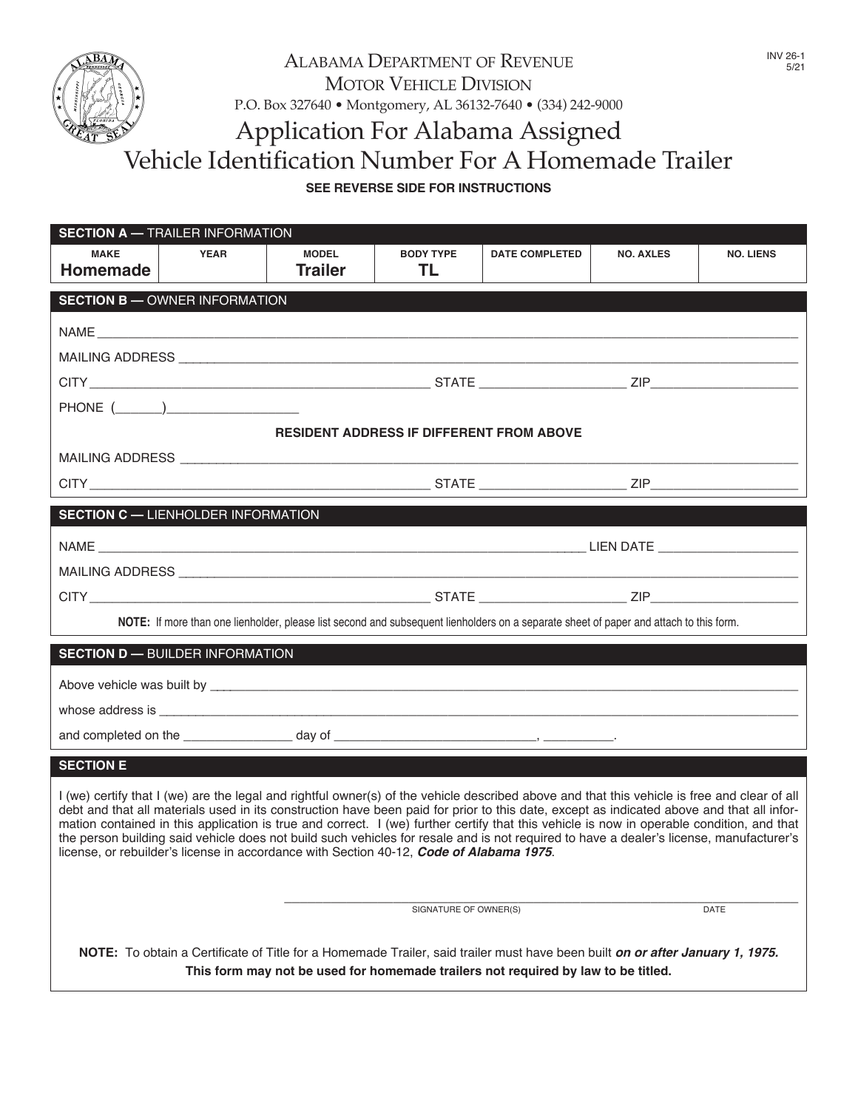

# ALABAMA DEPARTMENT OF REVENUE MOTOR VEHICLE DIVISION p.o. box 327640 • montgomery, Al 36132-7640 • (334) 242-9000 Application for Alabama Assigned Vehicle Identification Number For A Homemade Trailer

### **SEE REVERSE SIDE FOR INSTRUCTIONS**

|                                | <b>SECTION A - TRAILER INFORMATION</b>    |                                                                                                                                                                                                                                                                                                                                                                                                                                                                                                                                                                                                                                                                              |                                                 |                       |                  |                  |
|--------------------------------|-------------------------------------------|------------------------------------------------------------------------------------------------------------------------------------------------------------------------------------------------------------------------------------------------------------------------------------------------------------------------------------------------------------------------------------------------------------------------------------------------------------------------------------------------------------------------------------------------------------------------------------------------------------------------------------------------------------------------------|-------------------------------------------------|-----------------------|------------------|------------------|
| <b>MAKE</b><br><b>Homemade</b> | <b>YEAR</b>                               | <b>MODEL</b><br><b>Trailer</b>                                                                                                                                                                                                                                                                                                                                                                                                                                                                                                                                                                                                                                               | <b>BODY TYPE</b><br>TL                          | <b>DATE COMPLETED</b> | <b>NO. AXLES</b> | <b>NO. LIENS</b> |
|                                | <b>SECTION B - OWNER INFORMATION</b>      |                                                                                                                                                                                                                                                                                                                                                                                                                                                                                                                                                                                                                                                                              |                                                 |                       |                  |                  |
|                                |                                           |                                                                                                                                                                                                                                                                                                                                                                                                                                                                                                                                                                                                                                                                              |                                                 |                       |                  |                  |
|                                |                                           |                                                                                                                                                                                                                                                                                                                                                                                                                                                                                                                                                                                                                                                                              |                                                 |                       |                  |                  |
|                                |                                           |                                                                                                                                                                                                                                                                                                                                                                                                                                                                                                                                                                                                                                                                              |                                                 |                       |                  |                  |
|                                |                                           |                                                                                                                                                                                                                                                                                                                                                                                                                                                                                                                                                                                                                                                                              |                                                 |                       |                  |                  |
|                                |                                           |                                                                                                                                                                                                                                                                                                                                                                                                                                                                                                                                                                                                                                                                              | <b>RESIDENT ADDRESS IF DIFFERENT FROM ABOVE</b> |                       |                  |                  |
|                                |                                           |                                                                                                                                                                                                                                                                                                                                                                                                                                                                                                                                                                                                                                                                              |                                                 |                       |                  |                  |
|                                |                                           |                                                                                                                                                                                                                                                                                                                                                                                                                                                                                                                                                                                                                                                                              |                                                 |                       |                  |                  |
|                                | <b>SECTION C - LIENHOLDER INFORMATION</b> |                                                                                                                                                                                                                                                                                                                                                                                                                                                                                                                                                                                                                                                                              |                                                 |                       |                  |                  |
|                                |                                           |                                                                                                                                                                                                                                                                                                                                                                                                                                                                                                                                                                                                                                                                              |                                                 |                       |                  |                  |
|                                |                                           |                                                                                                                                                                                                                                                                                                                                                                                                                                                                                                                                                                                                                                                                              |                                                 |                       |                  |                  |
|                                |                                           |                                                                                                                                                                                                                                                                                                                                                                                                                                                                                                                                                                                                                                                                              |                                                 |                       |                  |                  |
|                                |                                           | NOTE: If more than one lienholder, please list second and subsequent lienholders on a separate sheet of paper and attach to this form.                                                                                                                                                                                                                                                                                                                                                                                                                                                                                                                                       |                                                 |                       |                  |                  |
|                                | <b>SECTION D - BUILDER INFORMATION</b>    |                                                                                                                                                                                                                                                                                                                                                                                                                                                                                                                                                                                                                                                                              |                                                 |                       |                  |                  |
|                                |                                           |                                                                                                                                                                                                                                                                                                                                                                                                                                                                                                                                                                                                                                                                              |                                                 |                       |                  |                  |
|                                |                                           |                                                                                                                                                                                                                                                                                                                                                                                                                                                                                                                                                                                                                                                                              |                                                 |                       |                  |                  |
|                                |                                           |                                                                                                                                                                                                                                                                                                                                                                                                                                                                                                                                                                                                                                                                              |                                                 |                       |                  |                  |
| <b>SECTION E</b>               |                                           |                                                                                                                                                                                                                                                                                                                                                                                                                                                                                                                                                                                                                                                                              |                                                 |                       |                  |                  |
|                                |                                           | I (we) certify that I (we) are the legal and rightful owner(s) of the vehicle described above and that this vehicle is free and clear of all<br>debt and that all materials used in its construction have been paid for prior to this date, except as indicated above and that all infor-<br>mation contained in this application is true and correct. I (we) further certify that this vehicle is now in operable condition, and that<br>the person building said vehicle does not build such vehicles for resale and is not required to have a dealer's license, manufacturer's<br>license, or rebuilder's license in accordance with Section 40-12, Code of Alabama 1975. |                                                 |                       |                  |                  |
|                                |                                           |                                                                                                                                                                                                                                                                                                                                                                                                                                                                                                                                                                                                                                                                              | SIGNATURE OF OWNER(S)                           |                       |                  | DATE             |
|                                |                                           | NOTE: To obtain a Certificate of Title for a Homemade Trailer, said trailer must have been built on or after January 1, 1975.<br>This form may not be used for homemade trailers not required by law to be titled.                                                                                                                                                                                                                                                                                                                                                                                                                                                           |                                                 |                       |                  |                  |